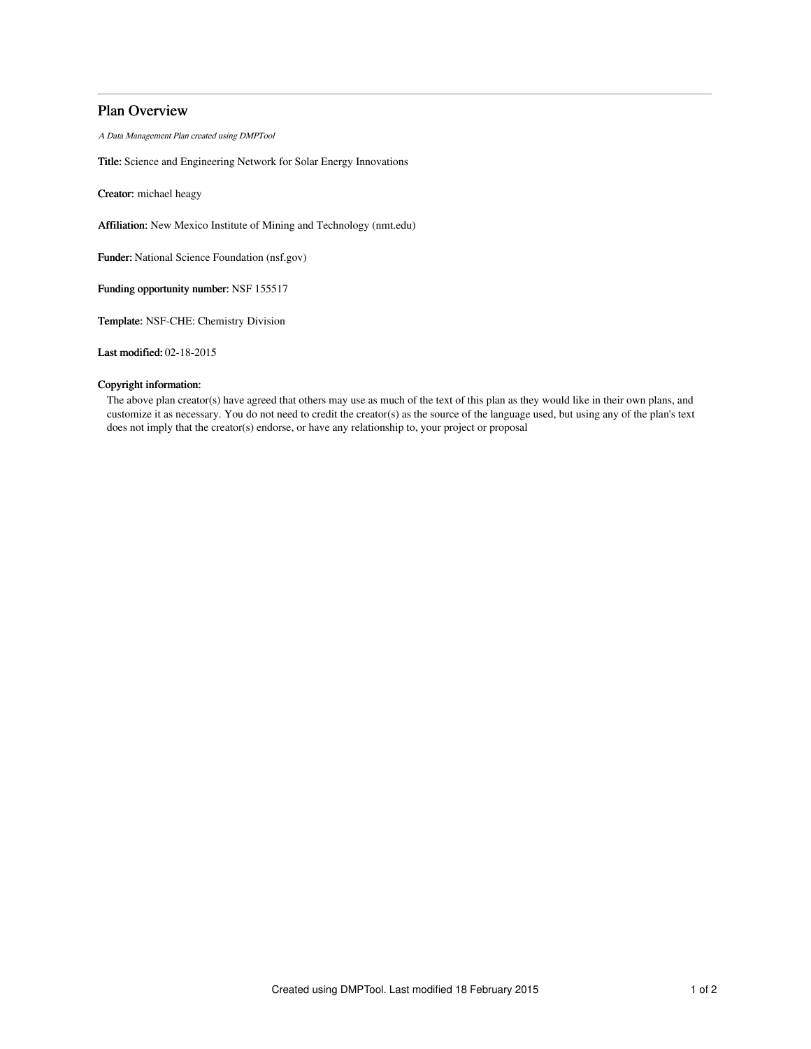# Plan Overview

A Data Management Plan created using DMPTool

Title: Science and Engineering Network for Solar Energy Innovations

Creator: michael heagy

Affiliation: New Mexico Institute of Mining and Technology (nmt.edu)

Funder: National Science Foundation (nsf.gov)

Funding opportunity number: NSF 155517

Template: NSF-CHE: Chemistry Division

Last modified: 02-18-2015

## Copyright information:

The above plan creator(s) have agreed that others may use as much of the text of this plan as they would like in their own plans, and customize it as necessary. You do not need to credit the creator(s) as the source of the language used, but using any of the plan's text does not imply that the creator(s) endorse, or have any relationship to, your project or proposal